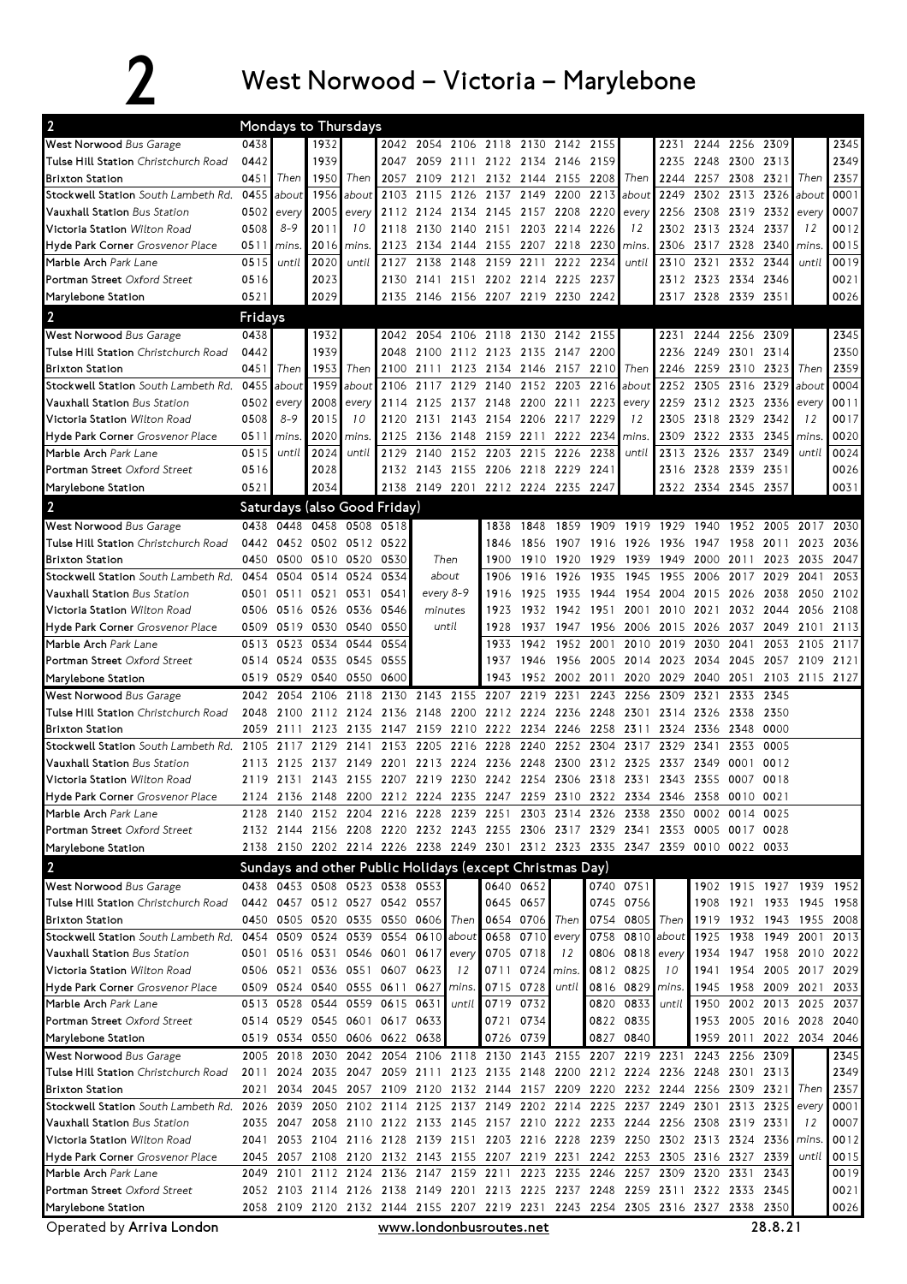## 2 West Norwood – Victoria – Marylebone

| 0438<br>1932<br>2345<br>West Norwood Bus Garage<br>2042 2054 2106 2118 2130 2142 2155<br>2244 2256 2309<br>2231<br>1939<br>2349<br>Tulse Hill Station Christchurch Road<br>0442<br>2059 2111 2122 2134 2146 2159<br>2248 2300 2313<br>2047<br>2235<br><b>Brixton Station</b><br>1950<br>2121 2132 2144 2155 2208 Then<br>2257 2308 2321<br>2357<br>0451<br>Then<br>Then<br>2057 2109<br>2244<br>Then<br>0455<br>1956<br>2115<br>2137 2149 2200<br>2213<br>2249<br>2302 2313 2326<br>0001<br>about<br>2103<br>2126<br>about<br>about<br>Stockwell Station South Lambeth Rd.<br>about<br>0007<br>Vauxhall Station Bus Station<br>0502<br>2005 every<br>2134 2145 2157 2208 2220<br>2256<br>2308 2319 2332<br>every<br>2112 2124<br>every<br>every<br>$8 - 9$<br>2313 2324<br>12<br>0012<br>Victoria Station Wilton Road<br>0508<br>2011<br>10<br>2130<br>2140 2151 2203 2214<br>2226<br>12<br>2302<br>2337<br>2118<br>2016<br>2317 2328<br>2340<br>0015<br>0511<br>2123<br>2134<br>2144<br>2155 2207 2218<br>2230<br>2306<br><b>Hyde Park Corner</b> Grosvenor Place<br>mins.<br>mins<br><i>mins</i><br>mins.<br>0019<br>0515<br>2020<br>2127 2138<br>2159 2211<br>2222 2234<br>2310 2321 2332 2344<br>Marble Arch Park Lane<br>2148<br>until<br>until<br>until<br>until<br>Portman Street Oxford Street<br>0516<br>2023<br>2130 2141 2151 2202 2214 2225 2237<br>2312 2323 2334 2346<br>0021<br>2029<br>2135 2146 2156 2207 2219 2230 2242<br>0521<br>2317 2328 2339 2351<br>0026<br>Marylebone Station<br>$\overline{2}$<br>Fridays<br>2345<br>West Norwood Bus Garage<br>0438<br>1932<br>2042 2054 2106 2118 2130 2142 2155<br>2244 2256 2309<br>2231<br>2350<br>Tulse Hill Station Christchurch Road<br>0442<br>1939<br>2048 2100 2112 2123 2135 2147 2200<br>2249 2301 2314<br>2236<br>1953<br>2359<br>0451<br>Then<br>Then<br>2100<br>2111<br>2123 2134 2146 2157 2210 Then<br>2246<br>2259 2310<br><b>Brixton Station</b><br>2323<br>Then<br>0455<br>0004<br>Stockwell Station South Lambeth Rd.<br>1959<br>2106<br>2117<br>2140 2152 2203<br>2216<br>2252<br>2305 2316<br>2329<br>about<br>about<br>2129<br>about<br>about<br>Vauxhall Station Bus Station<br>0502<br>2008<br>2114<br>2125<br>2148 2200<br>2259<br>2312 2323 2336<br>0011<br>2137<br>2211<br>2223<br>every<br>every<br>every<br>every<br>$8 - 9$<br>2015<br>2318 2329<br>2342<br>12<br>0017<br>0508<br>10<br>2120<br>2131<br>2143<br>2154 2206<br>2217<br>2229<br>12<br>2305<br>Victoria Station Wilton Road<br>Hyde Park Corner Grosvenor Place<br>2020<br>2148 2159 2211<br>2222 2234<br>2322 2333 2345<br>0020<br>0511<br>mins.<br>mins.<br>2125 2136<br>mins<br>2309<br>mins.<br>2152 2203 2215 2226 2238<br>2326 2337 2349<br>0024<br>Marble Arch Park Lane<br>0515<br>until<br>2024<br>2129 2140<br>2313<br>until<br>until<br>until<br>2132 2143 2155 2206 2218 2229 2241<br>2316 2328 2339 2351<br>0516<br>2028<br>0026<br>Portman Street Oxford Street<br>2138 2149 2201 2212 2224 2235 2247<br>2322 2334 2345 2357<br>0521<br>2034<br>0031<br>Marylebone Station<br>$\overline{2}$<br>Saturdays (also Good Friday)<br>West Norwood Bus Garage<br>0438<br>0448 0458 0508<br>0518<br>1859 1909 1919 1929 1940<br>1952 2005<br>1838<br>1848<br>2017<br>2030<br>Tulse Hill Station Christchurch Road<br>0442 0452 0502 0512 0522<br>1907 1916 1926<br>1936<br>1958<br>2011<br>2036<br>1856<br>1947<br>2023<br>1846<br>2047<br><b>Brixton Station</b><br>0450<br>0500 0510 0520 0530<br>Then<br>1900<br>1910<br>1920<br>1929<br>1939<br>1949<br>2000 2011<br>2023<br>2035<br>Stockwell Station South Lambeth Rd. 0454<br>0504 0514 0524<br>0534<br>about<br>1916<br>1926<br>1935<br>1945<br>1955<br>2006<br>2017<br>2029<br>2053<br>1906<br>2041<br>0531<br>0541<br>1925<br>1935<br>1944<br>1954<br>2004<br>2015 2026<br>2038<br><b>Vauxhall Station</b> Bus Station<br>0501<br>0511 0521<br>every 8-9<br>1916<br>2050<br>2102<br>Victoria Station Wilton Road<br>0506 0516 0526<br>0536<br>minutes<br>1942 1951<br>2010 2021<br>2032 2044 2056<br>2108<br>0546<br>1923<br>1932<br>2001<br>Hyde Park Corner Grosvenor Place<br>0519 0530<br>0540<br>0550<br>2113<br>0509<br>until<br>1928<br>1947 1956 2006<br>2015 2026<br>2037<br>2049<br>1937<br>2101<br>Marble Arch Park Lane<br>0523 0534<br>0544<br>0554<br>1952<br>2001<br>2010<br>2019<br>2030<br>2041<br>2053<br>2105<br>0513<br>1933<br>1942<br>2117<br>Portman Street Oxford Street<br>0514 0524 0535<br>0545<br>0555<br>1956<br>2005 2014<br>2023<br>2034 2045<br>2057<br>2121<br>1937<br>1946<br>2109<br>0519 0529 0540<br>0550<br>0600<br>1943<br>1952<br>2002 2011<br>2029<br>2040<br>2051<br>2103 2115 2127<br>2020<br>Marylebone Station<br>West Norwood Bus Garage<br>2106<br>2118<br>2130<br>2143<br>2155<br>2207<br>2219<br>2231<br>2243<br>2256<br>2309<br>2321<br>2333<br>2345<br>2042<br>2054<br>Tulse Hill Station Christchurch Road<br>2136 2148<br>2200<br>2212 2224<br>2236 2248 2301<br>2350<br>2048<br>2100<br>2112<br>2124<br>2314<br>2326<br>2338<br><b>Brixton Station</b><br>2059<br>2123<br>2135 2147 2159<br>2210 2222 2234<br>2246 2258 2311<br>2324<br>2336 2348<br>0000<br>2111<br>2153 2205<br>2216 2228 2240<br>2252 2304<br><b>Stockwell Station</b> South Lambeth Rd. 2105<br>2117<br>2129<br>2141<br>2317<br>2329<br>2341<br>2353<br>0005<br><b>Vauxhall Station</b> Bus Station<br>2125<br>2137 2149<br>2201<br>2213<br>2224<br>2236 2248<br>2300<br>2312 2325<br>2337<br>2349<br>0001<br>0012<br>2113<br>2119 2131 2143 2155 2207 2219 2230 2242 2254 2306 2318 2331<br>2343 2355 0007 0018<br><b>Victoria Station</b> Wilton Road<br>2124 2136 2148 2200 2212 2224 2235 2247 2259 2310 2322 2334 2346 2358 0010 0021<br>Hyde Park Corner Grosvenor Place<br>2128 2140 2152 2204 2216 2228 2239 2251 2303 2314 2326 2338 2350 0002 0014 0025<br><b>Marble Arch</b> Park Lane<br>2132 2144 2156 2208 2220 2232 2243 2255 2306 2317 2329 2341 2353 0005 0017 0028<br><b>Portman Street</b> Oxford Street<br>2138 2150 2202 2214 2226 2238 2249 2301 2312 2323 2335 2347 2359 0010 0022 0033<br>Marylebone Station<br>Sundays and other Public Holidays (except Christmas Day)<br>0438 0453 0508 0523 0538 0553<br>0640 0652<br>0740 0751<br>1902 1915 1927 1939 1952<br>West Norwood Bus Garage<br>Tulse Hill Station Christchurch Road<br>0442 0457 0512 0527 0542 0557<br>0645 0657<br>0745 0756<br>1908 1921 1933 1945 1958<br>0505 0520 0535 0550 0606 Then<br>0654 0706 Then<br>0754 0805 Then<br><b>Brixton Station</b><br>1919 1932 1943 1955 2008<br>0450<br>0509 0524 0539 0554 0610 about<br>0658 0710 every<br>0758 0810<br>about<br>Stockwell Station South Lambeth Rd. 0454<br>1925<br>1938 1949 2001<br>2013<br>0501 0516 0531 0546 0601 0617 every<br>0705 0718<br>0806 0818<br>1934 1947 1958 2010 2022<br><b>Vauxhall Station</b> Bus Station<br>12<br>every<br>0506 0521 0536 0551 0607 0623<br>0711 0724 mins.<br>0812 0825<br>10<br>1954 2005 2017<br>2029<br><b>Victoria Station Wilt</b> on Road<br>12<br>1941<br>0509 0524 0540 0555 0611 0627 mins.<br>0715 0728<br>0816 0829<br>1945 1958 2009 2021<br>Hyde Park Corner Grosvenor Place<br>until<br>2033<br>mins.<br>0513 0528 0544 0559 0615 0631<br>0719 0732<br>0820 0833<br>2002 2013 2025 2037<br>Marble Arch Park Lane<br>1950<br>until<br>until<br>1953 2005 2016 2028 2040<br>Portman Street Oxford Street<br>0514 0529 0545 0601 0617 0633<br>0721 0734<br>0822 0835<br>0519 0534 0550 0606 0622 0638<br>0827 0840<br>1959 2011 2022 2034 2046<br>0726 0739<br>Marylebone Station<br>2005 2018<br>2042 2054 2106 2118 2130 2143 2155 2207 2219 2231<br>2243 2256 2309<br><b>West Norwood</b> Bus Garage<br>2030<br>2345<br>2349<br>2024 2035 2047 2059 2111 2123 2135 2148 2200 2212 2224 2236 2248 2301 2313<br>Tulse Hill Station Christchurch Road<br>2011<br>2357<br><b>Brixton Station</b><br>2021<br>2034<br>2045 2057 2109 2120 2132 2144 2157 2209 2220 2232 2244 2256 2309 2321<br>Then<br>Stockwell Station South Lambeth Rd. 2026 2039 2050 2102 2114 2125 2137 2149 2202 2214 2225 2237 2249 2301 2313 2325<br>0001<br>every<br>0007<br>Vauxhall Station Bus Station<br>2035 2047 2058 2110 2122 2133 2145 2157 2210 2222 2233 2244 2256 2308 2319 2331<br>12<br>Victoria Station Wilton Road<br>2041 2053 2104 2116 2128 2139 2151 2203 2216 2228 2239 2250 2302 2313 2324 2336<br>0012<br>mins.<br>2045 2057 2108 2120 2132 2143 2155 2207 2219 2231 2242 2253 2305 2316 2327 2339<br>0015<br><b>Hyde Park Corner</b> Grosvenor Place<br>until<br>2049 2101 2112 2124 2136 2147 2159 2211 2223 2235 2246 2257 2309 2320 2331 2343<br>0019<br>Marble Arch Park Lane<br>2052 2103 2114 2126 2138 2149 2201 2213 2225 2237 2248 2259 2311 2322 2333 2345<br>0021<br><b>Portman Street</b> Oxford Street<br>2058 2109 2120 2132 2144 2155 2207 2219 2231 2243 2254 2305 2316 2327 2338 2350<br>0026<br>Marylebone Station<br>28.8.21<br>Operated by Arriva London<br>www.londonbusroutes.net | $\overline{2}$ | Mondays to Thursdays |  |  |  |  |  |  |  |  |
|---------------------------------------------------------------------------------------------------------------------------------------------------------------------------------------------------------------------------------------------------------------------------------------------------------------------------------------------------------------------------------------------------------------------------------------------------------------------------------------------------------------------------------------------------------------------------------------------------------------------------------------------------------------------------------------------------------------------------------------------------------------------------------------------------------------------------------------------------------------------------------------------------------------------------------------------------------------------------------------------------------------------------------------------------------------------------------------------------------------------------------------------------------------------------------------------------------------------------------------------------------------------------------------------------------------------------------------------------------------------------------------------------------------------------------------------------------------------------------------------------------------------------------------------------------------------------------------------------------------------------------------------------------------------------------------------------------------------------------------------------------------------------------------------------------------------------------------------------------------------------------------------------------------------------------------------------------------------------------------------------------------------------------------------------------------------------------------------------------------------------------------------------------------------------------------------------------------------------------------------------------------------------------------------------------------------------------------------------------------------------------------------------------------------------------------------------------------------------------------------------------------------------------------------------------------------------------------------------------------------------------------------------------------------------------------------------------------------------------------------------------------------------------------------------------------------------------------------------------------------------------------------------------------------------------------------------------------------------------------------------------------------------------------------------------------------------------------------------------------------------------------------------------------------------------------------------------------------------------------------------------------------------------------------------------------------------------------------------------------------------------------------------------------------------------------------------------------------------------------------------------------------------------------------------------------------------------------------------------------------------------------------------------------------------------------------------------------------------------------------------------------------------------------------------------------------------------------------------------------------------------------------------------------------------------------------------------------------------------------------------------------------------------------------------------------------------------------------------------------------------------------------------------------------------------------------------------------------------------------------------------------------------------------------------------------------------------------------------------------------------------------------------------------------------------------------------------------------------------------------------------------------------------------------------------------------------------------------------------------------------------------------------------------------------------------------------------------------------------------------------------------------------------------------------------------------------------------------------------------------------------------------------------------------------------------------------------------------------------------------------------------------------------------------------------------------------------------------------------------------------------------------------------------------------------------------------------------------------------------------------------------------------------------------------------------------------------------------------------------------------------------------------------------------------------------------------------------------------------------------------------------------------------------------------------------------------------------------------------------------------------------------------------------------------------------------------------------------------------------------------------------------------------------------------------------------------------------------------------------------------------------------------------------------------------------------------------------------------------------------------------------------------------------------------------------------------------------------------------------------------------------------------------------------------------------------------------------------------------------------------------------------------------------------------------------------------------------------------------------------------------------------------------------------------------------------------------------------------------------------------------------------------------------------------------------------------------------------------------------------------------------------------------------------------------------------------------------------------------------------------------------------------------------------------------------------------------------------------------------------------------------------------------------------------------------------------------------------------------------------------------------------------------------------------------------------------------------------------------------------------------------------------------------------------------------------------------------------------------------------------------------------------------------------------------------------------------------------------------------------------------------------------------------------------------------------------------------------------------------------------------------------------------------------------------------------------------------------------------------------------------------------------------------------------------------------------------------------------------------------------------------------------------------------------------------------------------------------------------------------------------------------------------------------------------------------------------------------------------------------------------------------------------------------------------------------------------------------------------------------------------------------------------------------------------------------------------------------------------------------------------------------------------------------------------------------------------------------------------------------------------------------------------------------------------------------------------------------------------------------------------------------------------------------------------------------------------------------------------------------------------------------------------------------------------------------------------------------------------------------------------------------------------------------------------------------------------------------------------------------------------------------------------------------------------------------------------------|----------------|----------------------|--|--|--|--|--|--|--|--|
|                                                                                                                                                                                                                                                                                                                                                                                                                                                                                                                                                                                                                                                                                                                                                                                                                                                                                                                                                                                                                                                                                                                                                                                                                                                                                                                                                                                                                                                                                                                                                                                                                                                                                                                                                                                                                                                                                                                                                                                                                                                                                                                                                                                                                                                                                                                                                                                                                                                                                                                                                                                                                                                                                                                                                                                                                                                                                                                                                                                                                                                                                                                                                                                                                                                                                                                                                                                                                                                                                                                                                                                                                                                                                                                                                                                                                                                                                                                                                                                                                                                                                                                                                                                                                                                                                                                                                                                                                                                                                                                                                                                                                                                                                                                                                                                                                                                                                                                                                                                                                                                                                                                                                                                                                                                                                                                                                                                                                                                                                                                                                                                                                                                                                                                                                                                                                                                                                                                                                                                                                                                                                                                                                                                                                                                                                                                                                                                                                                                                                                                                                                                                                                                                                                                                                                                                                                                                                                                                                                                                                                                                                                                                                                                                                                                                                                                                                                                                                                                                                                                                                                                                                                                                                                                                                                                                                                                                                                                                                                                                                                                                                                                                                                                                                                                                                                                                                                                                                                                                                                                                                                                                                                                                                                                                                                                                                                                                                                                                                               |                |                      |  |  |  |  |  |  |  |  |
|                                                                                                                                                                                                                                                                                                                                                                                                                                                                                                                                                                                                                                                                                                                                                                                                                                                                                                                                                                                                                                                                                                                                                                                                                                                                                                                                                                                                                                                                                                                                                                                                                                                                                                                                                                                                                                                                                                                                                                                                                                                                                                                                                                                                                                                                                                                                                                                                                                                                                                                                                                                                                                                                                                                                                                                                                                                                                                                                                                                                                                                                                                                                                                                                                                                                                                                                                                                                                                                                                                                                                                                                                                                                                                                                                                                                                                                                                                                                                                                                                                                                                                                                                                                                                                                                                                                                                                                                                                                                                                                                                                                                                                                                                                                                                                                                                                                                                                                                                                                                                                                                                                                                                                                                                                                                                                                                                                                                                                                                                                                                                                                                                                                                                                                                                                                                                                                                                                                                                                                                                                                                                                                                                                                                                                                                                                                                                                                                                                                                                                                                                                                                                                                                                                                                                                                                                                                                                                                                                                                                                                                                                                                                                                                                                                                                                                                                                                                                                                                                                                                                                                                                                                                                                                                                                                                                                                                                                                                                                                                                                                                                                                                                                                                                                                                                                                                                                                                                                                                                                                                                                                                                                                                                                                                                                                                                                                                                                                                                                               |                |                      |  |  |  |  |  |  |  |  |
|                                                                                                                                                                                                                                                                                                                                                                                                                                                                                                                                                                                                                                                                                                                                                                                                                                                                                                                                                                                                                                                                                                                                                                                                                                                                                                                                                                                                                                                                                                                                                                                                                                                                                                                                                                                                                                                                                                                                                                                                                                                                                                                                                                                                                                                                                                                                                                                                                                                                                                                                                                                                                                                                                                                                                                                                                                                                                                                                                                                                                                                                                                                                                                                                                                                                                                                                                                                                                                                                                                                                                                                                                                                                                                                                                                                                                                                                                                                                                                                                                                                                                                                                                                                                                                                                                                                                                                                                                                                                                                                                                                                                                                                                                                                                                                                                                                                                                                                                                                                                                                                                                                                                                                                                                                                                                                                                                                                                                                                                                                                                                                                                                                                                                                                                                                                                                                                                                                                                                                                                                                                                                                                                                                                                                                                                                                                                                                                                                                                                                                                                                                                                                                                                                                                                                                                                                                                                                                                                                                                                                                                                                                                                                                                                                                                                                                                                                                                                                                                                                                                                                                                                                                                                                                                                                                                                                                                                                                                                                                                                                                                                                                                                                                                                                                                                                                                                                                                                                                                                                                                                                                                                                                                                                                                                                                                                                                                                                                                                                               |                |                      |  |  |  |  |  |  |  |  |
|                                                                                                                                                                                                                                                                                                                                                                                                                                                                                                                                                                                                                                                                                                                                                                                                                                                                                                                                                                                                                                                                                                                                                                                                                                                                                                                                                                                                                                                                                                                                                                                                                                                                                                                                                                                                                                                                                                                                                                                                                                                                                                                                                                                                                                                                                                                                                                                                                                                                                                                                                                                                                                                                                                                                                                                                                                                                                                                                                                                                                                                                                                                                                                                                                                                                                                                                                                                                                                                                                                                                                                                                                                                                                                                                                                                                                                                                                                                                                                                                                                                                                                                                                                                                                                                                                                                                                                                                                                                                                                                                                                                                                                                                                                                                                                                                                                                                                                                                                                                                                                                                                                                                                                                                                                                                                                                                                                                                                                                                                                                                                                                                                                                                                                                                                                                                                                                                                                                                                                                                                                                                                                                                                                                                                                                                                                                                                                                                                                                                                                                                                                                                                                                                                                                                                                                                                                                                                                                                                                                                                                                                                                                                                                                                                                                                                                                                                                                                                                                                                                                                                                                                                                                                                                                                                                                                                                                                                                                                                                                                                                                                                                                                                                                                                                                                                                                                                                                                                                                                                                                                                                                                                                                                                                                                                                                                                                                                                                                                                               |                |                      |  |  |  |  |  |  |  |  |
|                                                                                                                                                                                                                                                                                                                                                                                                                                                                                                                                                                                                                                                                                                                                                                                                                                                                                                                                                                                                                                                                                                                                                                                                                                                                                                                                                                                                                                                                                                                                                                                                                                                                                                                                                                                                                                                                                                                                                                                                                                                                                                                                                                                                                                                                                                                                                                                                                                                                                                                                                                                                                                                                                                                                                                                                                                                                                                                                                                                                                                                                                                                                                                                                                                                                                                                                                                                                                                                                                                                                                                                                                                                                                                                                                                                                                                                                                                                                                                                                                                                                                                                                                                                                                                                                                                                                                                                                                                                                                                                                                                                                                                                                                                                                                                                                                                                                                                                                                                                                                                                                                                                                                                                                                                                                                                                                                                                                                                                                                                                                                                                                                                                                                                                                                                                                                                                                                                                                                                                                                                                                                                                                                                                                                                                                                                                                                                                                                                                                                                                                                                                                                                                                                                                                                                                                                                                                                                                                                                                                                                                                                                                                                                                                                                                                                                                                                                                                                                                                                                                                                                                                                                                                                                                                                                                                                                                                                                                                                                                                                                                                                                                                                                                                                                                                                                                                                                                                                                                                                                                                                                                                                                                                                                                                                                                                                                                                                                                                                               |                |                      |  |  |  |  |  |  |  |  |
|                                                                                                                                                                                                                                                                                                                                                                                                                                                                                                                                                                                                                                                                                                                                                                                                                                                                                                                                                                                                                                                                                                                                                                                                                                                                                                                                                                                                                                                                                                                                                                                                                                                                                                                                                                                                                                                                                                                                                                                                                                                                                                                                                                                                                                                                                                                                                                                                                                                                                                                                                                                                                                                                                                                                                                                                                                                                                                                                                                                                                                                                                                                                                                                                                                                                                                                                                                                                                                                                                                                                                                                                                                                                                                                                                                                                                                                                                                                                                                                                                                                                                                                                                                                                                                                                                                                                                                                                                                                                                                                                                                                                                                                                                                                                                                                                                                                                                                                                                                                                                                                                                                                                                                                                                                                                                                                                                                                                                                                                                                                                                                                                                                                                                                                                                                                                                                                                                                                                                                                                                                                                                                                                                                                                                                                                                                                                                                                                                                                                                                                                                                                                                                                                                                                                                                                                                                                                                                                                                                                                                                                                                                                                                                                                                                                                                                                                                                                                                                                                                                                                                                                                                                                                                                                                                                                                                                                                                                                                                                                                                                                                                                                                                                                                                                                                                                                                                                                                                                                                                                                                                                                                                                                                                                                                                                                                                                                                                                                                                               |                |                      |  |  |  |  |  |  |  |  |
|                                                                                                                                                                                                                                                                                                                                                                                                                                                                                                                                                                                                                                                                                                                                                                                                                                                                                                                                                                                                                                                                                                                                                                                                                                                                                                                                                                                                                                                                                                                                                                                                                                                                                                                                                                                                                                                                                                                                                                                                                                                                                                                                                                                                                                                                                                                                                                                                                                                                                                                                                                                                                                                                                                                                                                                                                                                                                                                                                                                                                                                                                                                                                                                                                                                                                                                                                                                                                                                                                                                                                                                                                                                                                                                                                                                                                                                                                                                                                                                                                                                                                                                                                                                                                                                                                                                                                                                                                                                                                                                                                                                                                                                                                                                                                                                                                                                                                                                                                                                                                                                                                                                                                                                                                                                                                                                                                                                                                                                                                                                                                                                                                                                                                                                                                                                                                                                                                                                                                                                                                                                                                                                                                                                                                                                                                                                                                                                                                                                                                                                                                                                                                                                                                                                                                                                                                                                                                                                                                                                                                                                                                                                                                                                                                                                                                                                                                                                                                                                                                                                                                                                                                                                                                                                                                                                                                                                                                                                                                                                                                                                                                                                                                                                                                                                                                                                                                                                                                                                                                                                                                                                                                                                                                                                                                                                                                                                                                                                                                               |                |                      |  |  |  |  |  |  |  |  |
|                                                                                                                                                                                                                                                                                                                                                                                                                                                                                                                                                                                                                                                                                                                                                                                                                                                                                                                                                                                                                                                                                                                                                                                                                                                                                                                                                                                                                                                                                                                                                                                                                                                                                                                                                                                                                                                                                                                                                                                                                                                                                                                                                                                                                                                                                                                                                                                                                                                                                                                                                                                                                                                                                                                                                                                                                                                                                                                                                                                                                                                                                                                                                                                                                                                                                                                                                                                                                                                                                                                                                                                                                                                                                                                                                                                                                                                                                                                                                                                                                                                                                                                                                                                                                                                                                                                                                                                                                                                                                                                                                                                                                                                                                                                                                                                                                                                                                                                                                                                                                                                                                                                                                                                                                                                                                                                                                                                                                                                                                                                                                                                                                                                                                                                                                                                                                                                                                                                                                                                                                                                                                                                                                                                                                                                                                                                                                                                                                                                                                                                                                                                                                                                                                                                                                                                                                                                                                                                                                                                                                                                                                                                                                                                                                                                                                                                                                                                                                                                                                                                                                                                                                                                                                                                                                                                                                                                                                                                                                                                                                                                                                                                                                                                                                                                                                                                                                                                                                                                                                                                                                                                                                                                                                                                                                                                                                                                                                                                                                               |                |                      |  |  |  |  |  |  |  |  |
|                                                                                                                                                                                                                                                                                                                                                                                                                                                                                                                                                                                                                                                                                                                                                                                                                                                                                                                                                                                                                                                                                                                                                                                                                                                                                                                                                                                                                                                                                                                                                                                                                                                                                                                                                                                                                                                                                                                                                                                                                                                                                                                                                                                                                                                                                                                                                                                                                                                                                                                                                                                                                                                                                                                                                                                                                                                                                                                                                                                                                                                                                                                                                                                                                                                                                                                                                                                                                                                                                                                                                                                                                                                                                                                                                                                                                                                                                                                                                                                                                                                                                                                                                                                                                                                                                                                                                                                                                                                                                                                                                                                                                                                                                                                                                                                                                                                                                                                                                                                                                                                                                                                                                                                                                                                                                                                                                                                                                                                                                                                                                                                                                                                                                                                                                                                                                                                                                                                                                                                                                                                                                                                                                                                                                                                                                                                                                                                                                                                                                                                                                                                                                                                                                                                                                                                                                                                                                                                                                                                                                                                                                                                                                                                                                                                                                                                                                                                                                                                                                                                                                                                                                                                                                                                                                                                                                                                                                                                                                                                                                                                                                                                                                                                                                                                                                                                                                                                                                                                                                                                                                                                                                                                                                                                                                                                                                                                                                                                                                               |                |                      |  |  |  |  |  |  |  |  |
|                                                                                                                                                                                                                                                                                                                                                                                                                                                                                                                                                                                                                                                                                                                                                                                                                                                                                                                                                                                                                                                                                                                                                                                                                                                                                                                                                                                                                                                                                                                                                                                                                                                                                                                                                                                                                                                                                                                                                                                                                                                                                                                                                                                                                                                                                                                                                                                                                                                                                                                                                                                                                                                                                                                                                                                                                                                                                                                                                                                                                                                                                                                                                                                                                                                                                                                                                                                                                                                                                                                                                                                                                                                                                                                                                                                                                                                                                                                                                                                                                                                                                                                                                                                                                                                                                                                                                                                                                                                                                                                                                                                                                                                                                                                                                                                                                                                                                                                                                                                                                                                                                                                                                                                                                                                                                                                                                                                                                                                                                                                                                                                                                                                                                                                                                                                                                                                                                                                                                                                                                                                                                                                                                                                                                                                                                                                                                                                                                                                                                                                                                                                                                                                                                                                                                                                                                                                                                                                                                                                                                                                                                                                                                                                                                                                                                                                                                                                                                                                                                                                                                                                                                                                                                                                                                                                                                                                                                                                                                                                                                                                                                                                                                                                                                                                                                                                                                                                                                                                                                                                                                                                                                                                                                                                                                                                                                                                                                                                                                               |                |                      |  |  |  |  |  |  |  |  |
|                                                                                                                                                                                                                                                                                                                                                                                                                                                                                                                                                                                                                                                                                                                                                                                                                                                                                                                                                                                                                                                                                                                                                                                                                                                                                                                                                                                                                                                                                                                                                                                                                                                                                                                                                                                                                                                                                                                                                                                                                                                                                                                                                                                                                                                                                                                                                                                                                                                                                                                                                                                                                                                                                                                                                                                                                                                                                                                                                                                                                                                                                                                                                                                                                                                                                                                                                                                                                                                                                                                                                                                                                                                                                                                                                                                                                                                                                                                                                                                                                                                                                                                                                                                                                                                                                                                                                                                                                                                                                                                                                                                                                                                                                                                                                                                                                                                                                                                                                                                                                                                                                                                                                                                                                                                                                                                                                                                                                                                                                                                                                                                                                                                                                                                                                                                                                                                                                                                                                                                                                                                                                                                                                                                                                                                                                                                                                                                                                                                                                                                                                                                                                                                                                                                                                                                                                                                                                                                                                                                                                                                                                                                                                                                                                                                                                                                                                                                                                                                                                                                                                                                                                                                                                                                                                                                                                                                                                                                                                                                                                                                                                                                                                                                                                                                                                                                                                                                                                                                                                                                                                                                                                                                                                                                                                                                                                                                                                                                                                               |                |                      |  |  |  |  |  |  |  |  |
|                                                                                                                                                                                                                                                                                                                                                                                                                                                                                                                                                                                                                                                                                                                                                                                                                                                                                                                                                                                                                                                                                                                                                                                                                                                                                                                                                                                                                                                                                                                                                                                                                                                                                                                                                                                                                                                                                                                                                                                                                                                                                                                                                                                                                                                                                                                                                                                                                                                                                                                                                                                                                                                                                                                                                                                                                                                                                                                                                                                                                                                                                                                                                                                                                                                                                                                                                                                                                                                                                                                                                                                                                                                                                                                                                                                                                                                                                                                                                                                                                                                                                                                                                                                                                                                                                                                                                                                                                                                                                                                                                                                                                                                                                                                                                                                                                                                                                                                                                                                                                                                                                                                                                                                                                                                                                                                                                                                                                                                                                                                                                                                                                                                                                                                                                                                                                                                                                                                                                                                                                                                                                                                                                                                                                                                                                                                                                                                                                                                                                                                                                                                                                                                                                                                                                                                                                                                                                                                                                                                                                                                                                                                                                                                                                                                                                                                                                                                                                                                                                                                                                                                                                                                                                                                                                                                                                                                                                                                                                                                                                                                                                                                                                                                                                                                                                                                                                                                                                                                                                                                                                                                                                                                                                                                                                                                                                                                                                                                                                               |                |                      |  |  |  |  |  |  |  |  |
|                                                                                                                                                                                                                                                                                                                                                                                                                                                                                                                                                                                                                                                                                                                                                                                                                                                                                                                                                                                                                                                                                                                                                                                                                                                                                                                                                                                                                                                                                                                                                                                                                                                                                                                                                                                                                                                                                                                                                                                                                                                                                                                                                                                                                                                                                                                                                                                                                                                                                                                                                                                                                                                                                                                                                                                                                                                                                                                                                                                                                                                                                                                                                                                                                                                                                                                                                                                                                                                                                                                                                                                                                                                                                                                                                                                                                                                                                                                                                                                                                                                                                                                                                                                                                                                                                                                                                                                                                                                                                                                                                                                                                                                                                                                                                                                                                                                                                                                                                                                                                                                                                                                                                                                                                                                                                                                                                                                                                                                                                                                                                                                                                                                                                                                                                                                                                                                                                                                                                                                                                                                                                                                                                                                                                                                                                                                                                                                                                                                                                                                                                                                                                                                                                                                                                                                                                                                                                                                                                                                                                                                                                                                                                                                                                                                                                                                                                                                                                                                                                                                                                                                                                                                                                                                                                                                                                                                                                                                                                                                                                                                                                                                                                                                                                                                                                                                                                                                                                                                                                                                                                                                                                                                                                                                                                                                                                                                                                                                                                               |                |                      |  |  |  |  |  |  |  |  |
|                                                                                                                                                                                                                                                                                                                                                                                                                                                                                                                                                                                                                                                                                                                                                                                                                                                                                                                                                                                                                                                                                                                                                                                                                                                                                                                                                                                                                                                                                                                                                                                                                                                                                                                                                                                                                                                                                                                                                                                                                                                                                                                                                                                                                                                                                                                                                                                                                                                                                                                                                                                                                                                                                                                                                                                                                                                                                                                                                                                                                                                                                                                                                                                                                                                                                                                                                                                                                                                                                                                                                                                                                                                                                                                                                                                                                                                                                                                                                                                                                                                                                                                                                                                                                                                                                                                                                                                                                                                                                                                                                                                                                                                                                                                                                                                                                                                                                                                                                                                                                                                                                                                                                                                                                                                                                                                                                                                                                                                                                                                                                                                                                                                                                                                                                                                                                                                                                                                                                                                                                                                                                                                                                                                                                                                                                                                                                                                                                                                                                                                                                                                                                                                                                                                                                                                                                                                                                                                                                                                                                                                                                                                                                                                                                                                                                                                                                                                                                                                                                                                                                                                                                                                                                                                                                                                                                                                                                                                                                                                                                                                                                                                                                                                                                                                                                                                                                                                                                                                                                                                                                                                                                                                                                                                                                                                                                                                                                                                                                               |                |                      |  |  |  |  |  |  |  |  |
|                                                                                                                                                                                                                                                                                                                                                                                                                                                                                                                                                                                                                                                                                                                                                                                                                                                                                                                                                                                                                                                                                                                                                                                                                                                                                                                                                                                                                                                                                                                                                                                                                                                                                                                                                                                                                                                                                                                                                                                                                                                                                                                                                                                                                                                                                                                                                                                                                                                                                                                                                                                                                                                                                                                                                                                                                                                                                                                                                                                                                                                                                                                                                                                                                                                                                                                                                                                                                                                                                                                                                                                                                                                                                                                                                                                                                                                                                                                                                                                                                                                                                                                                                                                                                                                                                                                                                                                                                                                                                                                                                                                                                                                                                                                                                                                                                                                                                                                                                                                                                                                                                                                                                                                                                                                                                                                                                                                                                                                                                                                                                                                                                                                                                                                                                                                                                                                                                                                                                                                                                                                                                                                                                                                                                                                                                                                                                                                                                                                                                                                                                                                                                                                                                                                                                                                                                                                                                                                                                                                                                                                                                                                                                                                                                                                                                                                                                                                                                                                                                                                                                                                                                                                                                                                                                                                                                                                                                                                                                                                                                                                                                                                                                                                                                                                                                                                                                                                                                                                                                                                                                                                                                                                                                                                                                                                                                                                                                                                                                               |                |                      |  |  |  |  |  |  |  |  |
|                                                                                                                                                                                                                                                                                                                                                                                                                                                                                                                                                                                                                                                                                                                                                                                                                                                                                                                                                                                                                                                                                                                                                                                                                                                                                                                                                                                                                                                                                                                                                                                                                                                                                                                                                                                                                                                                                                                                                                                                                                                                                                                                                                                                                                                                                                                                                                                                                                                                                                                                                                                                                                                                                                                                                                                                                                                                                                                                                                                                                                                                                                                                                                                                                                                                                                                                                                                                                                                                                                                                                                                                                                                                                                                                                                                                                                                                                                                                                                                                                                                                                                                                                                                                                                                                                                                                                                                                                                                                                                                                                                                                                                                                                                                                                                                                                                                                                                                                                                                                                                                                                                                                                                                                                                                                                                                                                                                                                                                                                                                                                                                                                                                                                                                                                                                                                                                                                                                                                                                                                                                                                                                                                                                                                                                                                                                                                                                                                                                                                                                                                                                                                                                                                                                                                                                                                                                                                                                                                                                                                                                                                                                                                                                                                                                                                                                                                                                                                                                                                                                                                                                                                                                                                                                                                                                                                                                                                                                                                                                                                                                                                                                                                                                                                                                                                                                                                                                                                                                                                                                                                                                                                                                                                                                                                                                                                                                                                                                                                               |                |                      |  |  |  |  |  |  |  |  |
|                                                                                                                                                                                                                                                                                                                                                                                                                                                                                                                                                                                                                                                                                                                                                                                                                                                                                                                                                                                                                                                                                                                                                                                                                                                                                                                                                                                                                                                                                                                                                                                                                                                                                                                                                                                                                                                                                                                                                                                                                                                                                                                                                                                                                                                                                                                                                                                                                                                                                                                                                                                                                                                                                                                                                                                                                                                                                                                                                                                                                                                                                                                                                                                                                                                                                                                                                                                                                                                                                                                                                                                                                                                                                                                                                                                                                                                                                                                                                                                                                                                                                                                                                                                                                                                                                                                                                                                                                                                                                                                                                                                                                                                                                                                                                                                                                                                                                                                                                                                                                                                                                                                                                                                                                                                                                                                                                                                                                                                                                                                                                                                                                                                                                                                                                                                                                                                                                                                                                                                                                                                                                                                                                                                                                                                                                                                                                                                                                                                                                                                                                                                                                                                                                                                                                                                                                                                                                                                                                                                                                                                                                                                                                                                                                                                                                                                                                                                                                                                                                                                                                                                                                                                                                                                                                                                                                                                                                                                                                                                                                                                                                                                                                                                                                                                                                                                                                                                                                                                                                                                                                                                                                                                                                                                                                                                                                                                                                                                                                               |                |                      |  |  |  |  |  |  |  |  |
|                                                                                                                                                                                                                                                                                                                                                                                                                                                                                                                                                                                                                                                                                                                                                                                                                                                                                                                                                                                                                                                                                                                                                                                                                                                                                                                                                                                                                                                                                                                                                                                                                                                                                                                                                                                                                                                                                                                                                                                                                                                                                                                                                                                                                                                                                                                                                                                                                                                                                                                                                                                                                                                                                                                                                                                                                                                                                                                                                                                                                                                                                                                                                                                                                                                                                                                                                                                                                                                                                                                                                                                                                                                                                                                                                                                                                                                                                                                                                                                                                                                                                                                                                                                                                                                                                                                                                                                                                                                                                                                                                                                                                                                                                                                                                                                                                                                                                                                                                                                                                                                                                                                                                                                                                                                                                                                                                                                                                                                                                                                                                                                                                                                                                                                                                                                                                                                                                                                                                                                                                                                                                                                                                                                                                                                                                                                                                                                                                                                                                                                                                                                                                                                                                                                                                                                                                                                                                                                                                                                                                                                                                                                                                                                                                                                                                                                                                                                                                                                                                                                                                                                                                                                                                                                                                                                                                                                                                                                                                                                                                                                                                                                                                                                                                                                                                                                                                                                                                                                                                                                                                                                                                                                                                                                                                                                                                                                                                                                                                               |                |                      |  |  |  |  |  |  |  |  |
|                                                                                                                                                                                                                                                                                                                                                                                                                                                                                                                                                                                                                                                                                                                                                                                                                                                                                                                                                                                                                                                                                                                                                                                                                                                                                                                                                                                                                                                                                                                                                                                                                                                                                                                                                                                                                                                                                                                                                                                                                                                                                                                                                                                                                                                                                                                                                                                                                                                                                                                                                                                                                                                                                                                                                                                                                                                                                                                                                                                                                                                                                                                                                                                                                                                                                                                                                                                                                                                                                                                                                                                                                                                                                                                                                                                                                                                                                                                                                                                                                                                                                                                                                                                                                                                                                                                                                                                                                                                                                                                                                                                                                                                                                                                                                                                                                                                                                                                                                                                                                                                                                                                                                                                                                                                                                                                                                                                                                                                                                                                                                                                                                                                                                                                                                                                                                                                                                                                                                                                                                                                                                                                                                                                                                                                                                                                                                                                                                                                                                                                                                                                                                                                                                                                                                                                                                                                                                                                                                                                                                                                                                                                                                                                                                                                                                                                                                                                                                                                                                                                                                                                                                                                                                                                                                                                                                                                                                                                                                                                                                                                                                                                                                                                                                                                                                                                                                                                                                                                                                                                                                                                                                                                                                                                                                                                                                                                                                                                                                               |                |                      |  |  |  |  |  |  |  |  |
|                                                                                                                                                                                                                                                                                                                                                                                                                                                                                                                                                                                                                                                                                                                                                                                                                                                                                                                                                                                                                                                                                                                                                                                                                                                                                                                                                                                                                                                                                                                                                                                                                                                                                                                                                                                                                                                                                                                                                                                                                                                                                                                                                                                                                                                                                                                                                                                                                                                                                                                                                                                                                                                                                                                                                                                                                                                                                                                                                                                                                                                                                                                                                                                                                                                                                                                                                                                                                                                                                                                                                                                                                                                                                                                                                                                                                                                                                                                                                                                                                                                                                                                                                                                                                                                                                                                                                                                                                                                                                                                                                                                                                                                                                                                                                                                                                                                                                                                                                                                                                                                                                                                                                                                                                                                                                                                                                                                                                                                                                                                                                                                                                                                                                                                                                                                                                                                                                                                                                                                                                                                                                                                                                                                                                                                                                                                                                                                                                                                                                                                                                                                                                                                                                                                                                                                                                                                                                                                                                                                                                                                                                                                                                                                                                                                                                                                                                                                                                                                                                                                                                                                                                                                                                                                                                                                                                                                                                                                                                                                                                                                                                                                                                                                                                                                                                                                                                                                                                                                                                                                                                                                                                                                                                                                                                                                                                                                                                                                                                               |                |                      |  |  |  |  |  |  |  |  |
|                                                                                                                                                                                                                                                                                                                                                                                                                                                                                                                                                                                                                                                                                                                                                                                                                                                                                                                                                                                                                                                                                                                                                                                                                                                                                                                                                                                                                                                                                                                                                                                                                                                                                                                                                                                                                                                                                                                                                                                                                                                                                                                                                                                                                                                                                                                                                                                                                                                                                                                                                                                                                                                                                                                                                                                                                                                                                                                                                                                                                                                                                                                                                                                                                                                                                                                                                                                                                                                                                                                                                                                                                                                                                                                                                                                                                                                                                                                                                                                                                                                                                                                                                                                                                                                                                                                                                                                                                                                                                                                                                                                                                                                                                                                                                                                                                                                                                                                                                                                                                                                                                                                                                                                                                                                                                                                                                                                                                                                                                                                                                                                                                                                                                                                                                                                                                                                                                                                                                                                                                                                                                                                                                                                                                                                                                                                                                                                                                                                                                                                                                                                                                                                                                                                                                                                                                                                                                                                                                                                                                                                                                                                                                                                                                                                                                                                                                                                                                                                                                                                                                                                                                                                                                                                                                                                                                                                                                                                                                                                                                                                                                                                                                                                                                                                                                                                                                                                                                                                                                                                                                                                                                                                                                                                                                                                                                                                                                                                                                               |                |                      |  |  |  |  |  |  |  |  |
|                                                                                                                                                                                                                                                                                                                                                                                                                                                                                                                                                                                                                                                                                                                                                                                                                                                                                                                                                                                                                                                                                                                                                                                                                                                                                                                                                                                                                                                                                                                                                                                                                                                                                                                                                                                                                                                                                                                                                                                                                                                                                                                                                                                                                                                                                                                                                                                                                                                                                                                                                                                                                                                                                                                                                                                                                                                                                                                                                                                                                                                                                                                                                                                                                                                                                                                                                                                                                                                                                                                                                                                                                                                                                                                                                                                                                                                                                                                                                                                                                                                                                                                                                                                                                                                                                                                                                                                                                                                                                                                                                                                                                                                                                                                                                                                                                                                                                                                                                                                                                                                                                                                                                                                                                                                                                                                                                                                                                                                                                                                                                                                                                                                                                                                                                                                                                                                                                                                                                                                                                                                                                                                                                                                                                                                                                                                                                                                                                                                                                                                                                                                                                                                                                                                                                                                                                                                                                                                                                                                                                                                                                                                                                                                                                                                                                                                                                                                                                                                                                                                                                                                                                                                                                                                                                                                                                                                                                                                                                                                                                                                                                                                                                                                                                                                                                                                                                                                                                                                                                                                                                                                                                                                                                                                                                                                                                                                                                                                                                               |                |                      |  |  |  |  |  |  |  |  |
|                                                                                                                                                                                                                                                                                                                                                                                                                                                                                                                                                                                                                                                                                                                                                                                                                                                                                                                                                                                                                                                                                                                                                                                                                                                                                                                                                                                                                                                                                                                                                                                                                                                                                                                                                                                                                                                                                                                                                                                                                                                                                                                                                                                                                                                                                                                                                                                                                                                                                                                                                                                                                                                                                                                                                                                                                                                                                                                                                                                                                                                                                                                                                                                                                                                                                                                                                                                                                                                                                                                                                                                                                                                                                                                                                                                                                                                                                                                                                                                                                                                                                                                                                                                                                                                                                                                                                                                                                                                                                                                                                                                                                                                                                                                                                                                                                                                                                                                                                                                                                                                                                                                                                                                                                                                                                                                                                                                                                                                                                                                                                                                                                                                                                                                                                                                                                                                                                                                                                                                                                                                                                                                                                                                                                                                                                                                                                                                                                                                                                                                                                                                                                                                                                                                                                                                                                                                                                                                                                                                                                                                                                                                                                                                                                                                                                                                                                                                                                                                                                                                                                                                                                                                                                                                                                                                                                                                                                                                                                                                                                                                                                                                                                                                                                                                                                                                                                                                                                                                                                                                                                                                                                                                                                                                                                                                                                                                                                                                                                               |                |                      |  |  |  |  |  |  |  |  |
|                                                                                                                                                                                                                                                                                                                                                                                                                                                                                                                                                                                                                                                                                                                                                                                                                                                                                                                                                                                                                                                                                                                                                                                                                                                                                                                                                                                                                                                                                                                                                                                                                                                                                                                                                                                                                                                                                                                                                                                                                                                                                                                                                                                                                                                                                                                                                                                                                                                                                                                                                                                                                                                                                                                                                                                                                                                                                                                                                                                                                                                                                                                                                                                                                                                                                                                                                                                                                                                                                                                                                                                                                                                                                                                                                                                                                                                                                                                                                                                                                                                                                                                                                                                                                                                                                                                                                                                                                                                                                                                                                                                                                                                                                                                                                                                                                                                                                                                                                                                                                                                                                                                                                                                                                                                                                                                                                                                                                                                                                                                                                                                                                                                                                                                                                                                                                                                                                                                                                                                                                                                                                                                                                                                                                                                                                                                                                                                                                                                                                                                                                                                                                                                                                                                                                                                                                                                                                                                                                                                                                                                                                                                                                                                                                                                                                                                                                                                                                                                                                                                                                                                                                                                                                                                                                                                                                                                                                                                                                                                                                                                                                                                                                                                                                                                                                                                                                                                                                                                                                                                                                                                                                                                                                                                                                                                                                                                                                                                                                               |                |                      |  |  |  |  |  |  |  |  |
|                                                                                                                                                                                                                                                                                                                                                                                                                                                                                                                                                                                                                                                                                                                                                                                                                                                                                                                                                                                                                                                                                                                                                                                                                                                                                                                                                                                                                                                                                                                                                                                                                                                                                                                                                                                                                                                                                                                                                                                                                                                                                                                                                                                                                                                                                                                                                                                                                                                                                                                                                                                                                                                                                                                                                                                                                                                                                                                                                                                                                                                                                                                                                                                                                                                                                                                                                                                                                                                                                                                                                                                                                                                                                                                                                                                                                                                                                                                                                                                                                                                                                                                                                                                                                                                                                                                                                                                                                                                                                                                                                                                                                                                                                                                                                                                                                                                                                                                                                                                                                                                                                                                                                                                                                                                                                                                                                                                                                                                                                                                                                                                                                                                                                                                                                                                                                                                                                                                                                                                                                                                                                                                                                                                                                                                                                                                                                                                                                                                                                                                                                                                                                                                                                                                                                                                                                                                                                                                                                                                                                                                                                                                                                                                                                                                                                                                                                                                                                                                                                                                                                                                                                                                                                                                                                                                                                                                                                                                                                                                                                                                                                                                                                                                                                                                                                                                                                                                                                                                                                                                                                                                                                                                                                                                                                                                                                                                                                                                                                               |                |                      |  |  |  |  |  |  |  |  |
|                                                                                                                                                                                                                                                                                                                                                                                                                                                                                                                                                                                                                                                                                                                                                                                                                                                                                                                                                                                                                                                                                                                                                                                                                                                                                                                                                                                                                                                                                                                                                                                                                                                                                                                                                                                                                                                                                                                                                                                                                                                                                                                                                                                                                                                                                                                                                                                                                                                                                                                                                                                                                                                                                                                                                                                                                                                                                                                                                                                                                                                                                                                                                                                                                                                                                                                                                                                                                                                                                                                                                                                                                                                                                                                                                                                                                                                                                                                                                                                                                                                                                                                                                                                                                                                                                                                                                                                                                                                                                                                                                                                                                                                                                                                                                                                                                                                                                                                                                                                                                                                                                                                                                                                                                                                                                                                                                                                                                                                                                                                                                                                                                                                                                                                                                                                                                                                                                                                                                                                                                                                                                                                                                                                                                                                                                                                                                                                                                                                                                                                                                                                                                                                                                                                                                                                                                                                                                                                                                                                                                                                                                                                                                                                                                                                                                                                                                                                                                                                                                                                                                                                                                                                                                                                                                                                                                                                                                                                                                                                                                                                                                                                                                                                                                                                                                                                                                                                                                                                                                                                                                                                                                                                                                                                                                                                                                                                                                                                                                               |                |                      |  |  |  |  |  |  |  |  |
|                                                                                                                                                                                                                                                                                                                                                                                                                                                                                                                                                                                                                                                                                                                                                                                                                                                                                                                                                                                                                                                                                                                                                                                                                                                                                                                                                                                                                                                                                                                                                                                                                                                                                                                                                                                                                                                                                                                                                                                                                                                                                                                                                                                                                                                                                                                                                                                                                                                                                                                                                                                                                                                                                                                                                                                                                                                                                                                                                                                                                                                                                                                                                                                                                                                                                                                                                                                                                                                                                                                                                                                                                                                                                                                                                                                                                                                                                                                                                                                                                                                                                                                                                                                                                                                                                                                                                                                                                                                                                                                                                                                                                                                                                                                                                                                                                                                                                                                                                                                                                                                                                                                                                                                                                                                                                                                                                                                                                                                                                                                                                                                                                                                                                                                                                                                                                                                                                                                                                                                                                                                                                                                                                                                                                                                                                                                                                                                                                                                                                                                                                                                                                                                                                                                                                                                                                                                                                                                                                                                                                                                                                                                                                                                                                                                                                                                                                                                                                                                                                                                                                                                                                                                                                                                                                                                                                                                                                                                                                                                                                                                                                                                                                                                                                                                                                                                                                                                                                                                                                                                                                                                                                                                                                                                                                                                                                                                                                                                                                               |                |                      |  |  |  |  |  |  |  |  |
|                                                                                                                                                                                                                                                                                                                                                                                                                                                                                                                                                                                                                                                                                                                                                                                                                                                                                                                                                                                                                                                                                                                                                                                                                                                                                                                                                                                                                                                                                                                                                                                                                                                                                                                                                                                                                                                                                                                                                                                                                                                                                                                                                                                                                                                                                                                                                                                                                                                                                                                                                                                                                                                                                                                                                                                                                                                                                                                                                                                                                                                                                                                                                                                                                                                                                                                                                                                                                                                                                                                                                                                                                                                                                                                                                                                                                                                                                                                                                                                                                                                                                                                                                                                                                                                                                                                                                                                                                                                                                                                                                                                                                                                                                                                                                                                                                                                                                                                                                                                                                                                                                                                                                                                                                                                                                                                                                                                                                                                                                                                                                                                                                                                                                                                                                                                                                                                                                                                                                                                                                                                                                                                                                                                                                                                                                                                                                                                                                                                                                                                                                                                                                                                                                                                                                                                                                                                                                                                                                                                                                                                                                                                                                                                                                                                                                                                                                                                                                                                                                                                                                                                                                                                                                                                                                                                                                                                                                                                                                                                                                                                                                                                                                                                                                                                                                                                                                                                                                                                                                                                                                                                                                                                                                                                                                                                                                                                                                                                                                               |                |                      |  |  |  |  |  |  |  |  |
|                                                                                                                                                                                                                                                                                                                                                                                                                                                                                                                                                                                                                                                                                                                                                                                                                                                                                                                                                                                                                                                                                                                                                                                                                                                                                                                                                                                                                                                                                                                                                                                                                                                                                                                                                                                                                                                                                                                                                                                                                                                                                                                                                                                                                                                                                                                                                                                                                                                                                                                                                                                                                                                                                                                                                                                                                                                                                                                                                                                                                                                                                                                                                                                                                                                                                                                                                                                                                                                                                                                                                                                                                                                                                                                                                                                                                                                                                                                                                                                                                                                                                                                                                                                                                                                                                                                                                                                                                                                                                                                                                                                                                                                                                                                                                                                                                                                                                                                                                                                                                                                                                                                                                                                                                                                                                                                                                                                                                                                                                                                                                                                                                                                                                                                                                                                                                                                                                                                                                                                                                                                                                                                                                                                                                                                                                                                                                                                                                                                                                                                                                                                                                                                                                                                                                                                                                                                                                                                                                                                                                                                                                                                                                                                                                                                                                                                                                                                                                                                                                                                                                                                                                                                                                                                                                                                                                                                                                                                                                                                                                                                                                                                                                                                                                                                                                                                                                                                                                                                                                                                                                                                                                                                                                                                                                                                                                                                                                                                                                               |                |                      |  |  |  |  |  |  |  |  |
|                                                                                                                                                                                                                                                                                                                                                                                                                                                                                                                                                                                                                                                                                                                                                                                                                                                                                                                                                                                                                                                                                                                                                                                                                                                                                                                                                                                                                                                                                                                                                                                                                                                                                                                                                                                                                                                                                                                                                                                                                                                                                                                                                                                                                                                                                                                                                                                                                                                                                                                                                                                                                                                                                                                                                                                                                                                                                                                                                                                                                                                                                                                                                                                                                                                                                                                                                                                                                                                                                                                                                                                                                                                                                                                                                                                                                                                                                                                                                                                                                                                                                                                                                                                                                                                                                                                                                                                                                                                                                                                                                                                                                                                                                                                                                                                                                                                                                                                                                                                                                                                                                                                                                                                                                                                                                                                                                                                                                                                                                                                                                                                                                                                                                                                                                                                                                                                                                                                                                                                                                                                                                                                                                                                                                                                                                                                                                                                                                                                                                                                                                                                                                                                                                                                                                                                                                                                                                                                                                                                                                                                                                                                                                                                                                                                                                                                                                                                                                                                                                                                                                                                                                                                                                                                                                                                                                                                                                                                                                                                                                                                                                                                                                                                                                                                                                                                                                                                                                                                                                                                                                                                                                                                                                                                                                                                                                                                                                                                                                               |                |                      |  |  |  |  |  |  |  |  |
|                                                                                                                                                                                                                                                                                                                                                                                                                                                                                                                                                                                                                                                                                                                                                                                                                                                                                                                                                                                                                                                                                                                                                                                                                                                                                                                                                                                                                                                                                                                                                                                                                                                                                                                                                                                                                                                                                                                                                                                                                                                                                                                                                                                                                                                                                                                                                                                                                                                                                                                                                                                                                                                                                                                                                                                                                                                                                                                                                                                                                                                                                                                                                                                                                                                                                                                                                                                                                                                                                                                                                                                                                                                                                                                                                                                                                                                                                                                                                                                                                                                                                                                                                                                                                                                                                                                                                                                                                                                                                                                                                                                                                                                                                                                                                                                                                                                                                                                                                                                                                                                                                                                                                                                                                                                                                                                                                                                                                                                                                                                                                                                                                                                                                                                                                                                                                                                                                                                                                                                                                                                                                                                                                                                                                                                                                                                                                                                                                                                                                                                                                                                                                                                                                                                                                                                                                                                                                                                                                                                                                                                                                                                                                                                                                                                                                                                                                                                                                                                                                                                                                                                                                                                                                                                                                                                                                                                                                                                                                                                                                                                                                                                                                                                                                                                                                                                                                                                                                                                                                                                                                                                                                                                                                                                                                                                                                                                                                                                                                               |                |                      |  |  |  |  |  |  |  |  |
|                                                                                                                                                                                                                                                                                                                                                                                                                                                                                                                                                                                                                                                                                                                                                                                                                                                                                                                                                                                                                                                                                                                                                                                                                                                                                                                                                                                                                                                                                                                                                                                                                                                                                                                                                                                                                                                                                                                                                                                                                                                                                                                                                                                                                                                                                                                                                                                                                                                                                                                                                                                                                                                                                                                                                                                                                                                                                                                                                                                                                                                                                                                                                                                                                                                                                                                                                                                                                                                                                                                                                                                                                                                                                                                                                                                                                                                                                                                                                                                                                                                                                                                                                                                                                                                                                                                                                                                                                                                                                                                                                                                                                                                                                                                                                                                                                                                                                                                                                                                                                                                                                                                                                                                                                                                                                                                                                                                                                                                                                                                                                                                                                                                                                                                                                                                                                                                                                                                                                                                                                                                                                                                                                                                                                                                                                                                                                                                                                                                                                                                                                                                                                                                                                                                                                                                                                                                                                                                                                                                                                                                                                                                                                                                                                                                                                                                                                                                                                                                                                                                                                                                                                                                                                                                                                                                                                                                                                                                                                                                                                                                                                                                                                                                                                                                                                                                                                                                                                                                                                                                                                                                                                                                                                                                                                                                                                                                                                                                                                               |                |                      |  |  |  |  |  |  |  |  |
|                                                                                                                                                                                                                                                                                                                                                                                                                                                                                                                                                                                                                                                                                                                                                                                                                                                                                                                                                                                                                                                                                                                                                                                                                                                                                                                                                                                                                                                                                                                                                                                                                                                                                                                                                                                                                                                                                                                                                                                                                                                                                                                                                                                                                                                                                                                                                                                                                                                                                                                                                                                                                                                                                                                                                                                                                                                                                                                                                                                                                                                                                                                                                                                                                                                                                                                                                                                                                                                                                                                                                                                                                                                                                                                                                                                                                                                                                                                                                                                                                                                                                                                                                                                                                                                                                                                                                                                                                                                                                                                                                                                                                                                                                                                                                                                                                                                                                                                                                                                                                                                                                                                                                                                                                                                                                                                                                                                                                                                                                                                                                                                                                                                                                                                                                                                                                                                                                                                                                                                                                                                                                                                                                                                                                                                                                                                                                                                                                                                                                                                                                                                                                                                                                                                                                                                                                                                                                                                                                                                                                                                                                                                                                                                                                                                                                                                                                                                                                                                                                                                                                                                                                                                                                                                                                                                                                                                                                                                                                                                                                                                                                                                                                                                                                                                                                                                                                                                                                                                                                                                                                                                                                                                                                                                                                                                                                                                                                                                                                               |                |                      |  |  |  |  |  |  |  |  |
|                                                                                                                                                                                                                                                                                                                                                                                                                                                                                                                                                                                                                                                                                                                                                                                                                                                                                                                                                                                                                                                                                                                                                                                                                                                                                                                                                                                                                                                                                                                                                                                                                                                                                                                                                                                                                                                                                                                                                                                                                                                                                                                                                                                                                                                                                                                                                                                                                                                                                                                                                                                                                                                                                                                                                                                                                                                                                                                                                                                                                                                                                                                                                                                                                                                                                                                                                                                                                                                                                                                                                                                                                                                                                                                                                                                                                                                                                                                                                                                                                                                                                                                                                                                                                                                                                                                                                                                                                                                                                                                                                                                                                                                                                                                                                                                                                                                                                                                                                                                                                                                                                                                                                                                                                                                                                                                                                                                                                                                                                                                                                                                                                                                                                                                                                                                                                                                                                                                                                                                                                                                                                                                                                                                                                                                                                                                                                                                                                                                                                                                                                                                                                                                                                                                                                                                                                                                                                                                                                                                                                                                                                                                                                                                                                                                                                                                                                                                                                                                                                                                                                                                                                                                                                                                                                                                                                                                                                                                                                                                                                                                                                                                                                                                                                                                                                                                                                                                                                                                                                                                                                                                                                                                                                                                                                                                                                                                                                                                                                               |                |                      |  |  |  |  |  |  |  |  |
|                                                                                                                                                                                                                                                                                                                                                                                                                                                                                                                                                                                                                                                                                                                                                                                                                                                                                                                                                                                                                                                                                                                                                                                                                                                                                                                                                                                                                                                                                                                                                                                                                                                                                                                                                                                                                                                                                                                                                                                                                                                                                                                                                                                                                                                                                                                                                                                                                                                                                                                                                                                                                                                                                                                                                                                                                                                                                                                                                                                                                                                                                                                                                                                                                                                                                                                                                                                                                                                                                                                                                                                                                                                                                                                                                                                                                                                                                                                                                                                                                                                                                                                                                                                                                                                                                                                                                                                                                                                                                                                                                                                                                                                                                                                                                                                                                                                                                                                                                                                                                                                                                                                                                                                                                                                                                                                                                                                                                                                                                                                                                                                                                                                                                                                                                                                                                                                                                                                                                                                                                                                                                                                                                                                                                                                                                                                                                                                                                                                                                                                                                                                                                                                                                                                                                                                                                                                                                                                                                                                                                                                                                                                                                                                                                                                                                                                                                                                                                                                                                                                                                                                                                                                                                                                                                                                                                                                                                                                                                                                                                                                                                                                                                                                                                                                                                                                                                                                                                                                                                                                                                                                                                                                                                                                                                                                                                                                                                                                                                               |                |                      |  |  |  |  |  |  |  |  |
|                                                                                                                                                                                                                                                                                                                                                                                                                                                                                                                                                                                                                                                                                                                                                                                                                                                                                                                                                                                                                                                                                                                                                                                                                                                                                                                                                                                                                                                                                                                                                                                                                                                                                                                                                                                                                                                                                                                                                                                                                                                                                                                                                                                                                                                                                                                                                                                                                                                                                                                                                                                                                                                                                                                                                                                                                                                                                                                                                                                                                                                                                                                                                                                                                                                                                                                                                                                                                                                                                                                                                                                                                                                                                                                                                                                                                                                                                                                                                                                                                                                                                                                                                                                                                                                                                                                                                                                                                                                                                                                                                                                                                                                                                                                                                                                                                                                                                                                                                                                                                                                                                                                                                                                                                                                                                                                                                                                                                                                                                                                                                                                                                                                                                                                                                                                                                                                                                                                                                                                                                                                                                                                                                                                                                                                                                                                                                                                                                                                                                                                                                                                                                                                                                                                                                                                                                                                                                                                                                                                                                                                                                                                                                                                                                                                                                                                                                                                                                                                                                                                                                                                                                                                                                                                                                                                                                                                                                                                                                                                                                                                                                                                                                                                                                                                                                                                                                                                                                                                                                                                                                                                                                                                                                                                                                                                                                                                                                                                                                               |                |                      |  |  |  |  |  |  |  |  |
|                                                                                                                                                                                                                                                                                                                                                                                                                                                                                                                                                                                                                                                                                                                                                                                                                                                                                                                                                                                                                                                                                                                                                                                                                                                                                                                                                                                                                                                                                                                                                                                                                                                                                                                                                                                                                                                                                                                                                                                                                                                                                                                                                                                                                                                                                                                                                                                                                                                                                                                                                                                                                                                                                                                                                                                                                                                                                                                                                                                                                                                                                                                                                                                                                                                                                                                                                                                                                                                                                                                                                                                                                                                                                                                                                                                                                                                                                                                                                                                                                                                                                                                                                                                                                                                                                                                                                                                                                                                                                                                                                                                                                                                                                                                                                                                                                                                                                                                                                                                                                                                                                                                                                                                                                                                                                                                                                                                                                                                                                                                                                                                                                                                                                                                                                                                                                                                                                                                                                                                                                                                                                                                                                                                                                                                                                                                                                                                                                                                                                                                                                                                                                                                                                                                                                                                                                                                                                                                                                                                                                                                                                                                                                                                                                                                                                                                                                                                                                                                                                                                                                                                                                                                                                                                                                                                                                                                                                                                                                                                                                                                                                                                                                                                                                                                                                                                                                                                                                                                                                                                                                                                                                                                                                                                                                                                                                                                                                                                                                               |                |                      |  |  |  |  |  |  |  |  |
|                                                                                                                                                                                                                                                                                                                                                                                                                                                                                                                                                                                                                                                                                                                                                                                                                                                                                                                                                                                                                                                                                                                                                                                                                                                                                                                                                                                                                                                                                                                                                                                                                                                                                                                                                                                                                                                                                                                                                                                                                                                                                                                                                                                                                                                                                                                                                                                                                                                                                                                                                                                                                                                                                                                                                                                                                                                                                                                                                                                                                                                                                                                                                                                                                                                                                                                                                                                                                                                                                                                                                                                                                                                                                                                                                                                                                                                                                                                                                                                                                                                                                                                                                                                                                                                                                                                                                                                                                                                                                                                                                                                                                                                                                                                                                                                                                                                                                                                                                                                                                                                                                                                                                                                                                                                                                                                                                                                                                                                                                                                                                                                                                                                                                                                                                                                                                                                                                                                                                                                                                                                                                                                                                                                                                                                                                                                                                                                                                                                                                                                                                                                                                                                                                                                                                                                                                                                                                                                                                                                                                                                                                                                                                                                                                                                                                                                                                                                                                                                                                                                                                                                                                                                                                                                                                                                                                                                                                                                                                                                                                                                                                                                                                                                                                                                                                                                                                                                                                                                                                                                                                                                                                                                                                                                                                                                                                                                                                                                                                               |                |                      |  |  |  |  |  |  |  |  |
|                                                                                                                                                                                                                                                                                                                                                                                                                                                                                                                                                                                                                                                                                                                                                                                                                                                                                                                                                                                                                                                                                                                                                                                                                                                                                                                                                                                                                                                                                                                                                                                                                                                                                                                                                                                                                                                                                                                                                                                                                                                                                                                                                                                                                                                                                                                                                                                                                                                                                                                                                                                                                                                                                                                                                                                                                                                                                                                                                                                                                                                                                                                                                                                                                                                                                                                                                                                                                                                                                                                                                                                                                                                                                                                                                                                                                                                                                                                                                                                                                                                                                                                                                                                                                                                                                                                                                                                                                                                                                                                                                                                                                                                                                                                                                                                                                                                                                                                                                                                                                                                                                                                                                                                                                                                                                                                                                                                                                                                                                                                                                                                                                                                                                                                                                                                                                                                                                                                                                                                                                                                                                                                                                                                                                                                                                                                                                                                                                                                                                                                                                                                                                                                                                                                                                                                                                                                                                                                                                                                                                                                                                                                                                                                                                                                                                                                                                                                                                                                                                                                                                                                                                                                                                                                                                                                                                                                                                                                                                                                                                                                                                                                                                                                                                                                                                                                                                                                                                                                                                                                                                                                                                                                                                                                                                                                                                                                                                                                                                               |                |                      |  |  |  |  |  |  |  |  |
|                                                                                                                                                                                                                                                                                                                                                                                                                                                                                                                                                                                                                                                                                                                                                                                                                                                                                                                                                                                                                                                                                                                                                                                                                                                                                                                                                                                                                                                                                                                                                                                                                                                                                                                                                                                                                                                                                                                                                                                                                                                                                                                                                                                                                                                                                                                                                                                                                                                                                                                                                                                                                                                                                                                                                                                                                                                                                                                                                                                                                                                                                                                                                                                                                                                                                                                                                                                                                                                                                                                                                                                                                                                                                                                                                                                                                                                                                                                                                                                                                                                                                                                                                                                                                                                                                                                                                                                                                                                                                                                                                                                                                                                                                                                                                                                                                                                                                                                                                                                                                                                                                                                                                                                                                                                                                                                                                                                                                                                                                                                                                                                                                                                                                                                                                                                                                                                                                                                                                                                                                                                                                                                                                                                                                                                                                                                                                                                                                                                                                                                                                                                                                                                                                                                                                                                                                                                                                                                                                                                                                                                                                                                                                                                                                                                                                                                                                                                                                                                                                                                                                                                                                                                                                                                                                                                                                                                                                                                                                                                                                                                                                                                                                                                                                                                                                                                                                                                                                                                                                                                                                                                                                                                                                                                                                                                                                                                                                                                                                               |                |                      |  |  |  |  |  |  |  |  |
|                                                                                                                                                                                                                                                                                                                                                                                                                                                                                                                                                                                                                                                                                                                                                                                                                                                                                                                                                                                                                                                                                                                                                                                                                                                                                                                                                                                                                                                                                                                                                                                                                                                                                                                                                                                                                                                                                                                                                                                                                                                                                                                                                                                                                                                                                                                                                                                                                                                                                                                                                                                                                                                                                                                                                                                                                                                                                                                                                                                                                                                                                                                                                                                                                                                                                                                                                                                                                                                                                                                                                                                                                                                                                                                                                                                                                                                                                                                                                                                                                                                                                                                                                                                                                                                                                                                                                                                                                                                                                                                                                                                                                                                                                                                                                                                                                                                                                                                                                                                                                                                                                                                                                                                                                                                                                                                                                                                                                                                                                                                                                                                                                                                                                                                                                                                                                                                                                                                                                                                                                                                                                                                                                                                                                                                                                                                                                                                                                                                                                                                                                                                                                                                                                                                                                                                                                                                                                                                                                                                                                                                                                                                                                                                                                                                                                                                                                                                                                                                                                                                                                                                                                                                                                                                                                                                                                                                                                                                                                                                                                                                                                                                                                                                                                                                                                                                                                                                                                                                                                                                                                                                                                                                                                                                                                                                                                                                                                                                                                               |                |                      |  |  |  |  |  |  |  |  |
|                                                                                                                                                                                                                                                                                                                                                                                                                                                                                                                                                                                                                                                                                                                                                                                                                                                                                                                                                                                                                                                                                                                                                                                                                                                                                                                                                                                                                                                                                                                                                                                                                                                                                                                                                                                                                                                                                                                                                                                                                                                                                                                                                                                                                                                                                                                                                                                                                                                                                                                                                                                                                                                                                                                                                                                                                                                                                                                                                                                                                                                                                                                                                                                                                                                                                                                                                                                                                                                                                                                                                                                                                                                                                                                                                                                                                                                                                                                                                                                                                                                                                                                                                                                                                                                                                                                                                                                                                                                                                                                                                                                                                                                                                                                                                                                                                                                                                                                                                                                                                                                                                                                                                                                                                                                                                                                                                                                                                                                                                                                                                                                                                                                                                                                                                                                                                                                                                                                                                                                                                                                                                                                                                                                                                                                                                                                                                                                                                                                                                                                                                                                                                                                                                                                                                                                                                                                                                                                                                                                                                                                                                                                                                                                                                                                                                                                                                                                                                                                                                                                                                                                                                                                                                                                                                                                                                                                                                                                                                                                                                                                                                                                                                                                                                                                                                                                                                                                                                                                                                                                                                                                                                                                                                                                                                                                                                                                                                                                                                               | $\overline{2}$ |                      |  |  |  |  |  |  |  |  |
|                                                                                                                                                                                                                                                                                                                                                                                                                                                                                                                                                                                                                                                                                                                                                                                                                                                                                                                                                                                                                                                                                                                                                                                                                                                                                                                                                                                                                                                                                                                                                                                                                                                                                                                                                                                                                                                                                                                                                                                                                                                                                                                                                                                                                                                                                                                                                                                                                                                                                                                                                                                                                                                                                                                                                                                                                                                                                                                                                                                                                                                                                                                                                                                                                                                                                                                                                                                                                                                                                                                                                                                                                                                                                                                                                                                                                                                                                                                                                                                                                                                                                                                                                                                                                                                                                                                                                                                                                                                                                                                                                                                                                                                                                                                                                                                                                                                                                                                                                                                                                                                                                                                                                                                                                                                                                                                                                                                                                                                                                                                                                                                                                                                                                                                                                                                                                                                                                                                                                                                                                                                                                                                                                                                                                                                                                                                                                                                                                                                                                                                                                                                                                                                                                                                                                                                                                                                                                                                                                                                                                                                                                                                                                                                                                                                                                                                                                                                                                                                                                                                                                                                                                                                                                                                                                                                                                                                                                                                                                                                                                                                                                                                                                                                                                                                                                                                                                                                                                                                                                                                                                                                                                                                                                                                                                                                                                                                                                                                                                               |                |                      |  |  |  |  |  |  |  |  |
|                                                                                                                                                                                                                                                                                                                                                                                                                                                                                                                                                                                                                                                                                                                                                                                                                                                                                                                                                                                                                                                                                                                                                                                                                                                                                                                                                                                                                                                                                                                                                                                                                                                                                                                                                                                                                                                                                                                                                                                                                                                                                                                                                                                                                                                                                                                                                                                                                                                                                                                                                                                                                                                                                                                                                                                                                                                                                                                                                                                                                                                                                                                                                                                                                                                                                                                                                                                                                                                                                                                                                                                                                                                                                                                                                                                                                                                                                                                                                                                                                                                                                                                                                                                                                                                                                                                                                                                                                                                                                                                                                                                                                                                                                                                                                                                                                                                                                                                                                                                                                                                                                                                                                                                                                                                                                                                                                                                                                                                                                                                                                                                                                                                                                                                                                                                                                                                                                                                                                                                                                                                                                                                                                                                                                                                                                                                                                                                                                                                                                                                                                                                                                                                                                                                                                                                                                                                                                                                                                                                                                                                                                                                                                                                                                                                                                                                                                                                                                                                                                                                                                                                                                                                                                                                                                                                                                                                                                                                                                                                                                                                                                                                                                                                                                                                                                                                                                                                                                                                                                                                                                                                                                                                                                                                                                                                                                                                                                                                                                               |                |                      |  |  |  |  |  |  |  |  |
|                                                                                                                                                                                                                                                                                                                                                                                                                                                                                                                                                                                                                                                                                                                                                                                                                                                                                                                                                                                                                                                                                                                                                                                                                                                                                                                                                                                                                                                                                                                                                                                                                                                                                                                                                                                                                                                                                                                                                                                                                                                                                                                                                                                                                                                                                                                                                                                                                                                                                                                                                                                                                                                                                                                                                                                                                                                                                                                                                                                                                                                                                                                                                                                                                                                                                                                                                                                                                                                                                                                                                                                                                                                                                                                                                                                                                                                                                                                                                                                                                                                                                                                                                                                                                                                                                                                                                                                                                                                                                                                                                                                                                                                                                                                                                                                                                                                                                                                                                                                                                                                                                                                                                                                                                                                                                                                                                                                                                                                                                                                                                                                                                                                                                                                                                                                                                                                                                                                                                                                                                                                                                                                                                                                                                                                                                                                                                                                                                                                                                                                                                                                                                                                                                                                                                                                                                                                                                                                                                                                                                                                                                                                                                                                                                                                                                                                                                                                                                                                                                                                                                                                                                                                                                                                                                                                                                                                                                                                                                                                                                                                                                                                                                                                                                                                                                                                                                                                                                                                                                                                                                                                                                                                                                                                                                                                                                                                                                                                                                               |                |                      |  |  |  |  |  |  |  |  |
|                                                                                                                                                                                                                                                                                                                                                                                                                                                                                                                                                                                                                                                                                                                                                                                                                                                                                                                                                                                                                                                                                                                                                                                                                                                                                                                                                                                                                                                                                                                                                                                                                                                                                                                                                                                                                                                                                                                                                                                                                                                                                                                                                                                                                                                                                                                                                                                                                                                                                                                                                                                                                                                                                                                                                                                                                                                                                                                                                                                                                                                                                                                                                                                                                                                                                                                                                                                                                                                                                                                                                                                                                                                                                                                                                                                                                                                                                                                                                                                                                                                                                                                                                                                                                                                                                                                                                                                                                                                                                                                                                                                                                                                                                                                                                                                                                                                                                                                                                                                                                                                                                                                                                                                                                                                                                                                                                                                                                                                                                                                                                                                                                                                                                                                                                                                                                                                                                                                                                                                                                                                                                                                                                                                                                                                                                                                                                                                                                                                                                                                                                                                                                                                                                                                                                                                                                                                                                                                                                                                                                                                                                                                                                                                                                                                                                                                                                                                                                                                                                                                                                                                                                                                                                                                                                                                                                                                                                                                                                                                                                                                                                                                                                                                                                                                                                                                                                                                                                                                                                                                                                                                                                                                                                                                                                                                                                                                                                                                                                               |                |                      |  |  |  |  |  |  |  |  |
|                                                                                                                                                                                                                                                                                                                                                                                                                                                                                                                                                                                                                                                                                                                                                                                                                                                                                                                                                                                                                                                                                                                                                                                                                                                                                                                                                                                                                                                                                                                                                                                                                                                                                                                                                                                                                                                                                                                                                                                                                                                                                                                                                                                                                                                                                                                                                                                                                                                                                                                                                                                                                                                                                                                                                                                                                                                                                                                                                                                                                                                                                                                                                                                                                                                                                                                                                                                                                                                                                                                                                                                                                                                                                                                                                                                                                                                                                                                                                                                                                                                                                                                                                                                                                                                                                                                                                                                                                                                                                                                                                                                                                                                                                                                                                                                                                                                                                                                                                                                                                                                                                                                                                                                                                                                                                                                                                                                                                                                                                                                                                                                                                                                                                                                                                                                                                                                                                                                                                                                                                                                                                                                                                                                                                                                                                                                                                                                                                                                                                                                                                                                                                                                                                                                                                                                                                                                                                                                                                                                                                                                                                                                                                                                                                                                                                                                                                                                                                                                                                                                                                                                                                                                                                                                                                                                                                                                                                                                                                                                                                                                                                                                                                                                                                                                                                                                                                                                                                                                                                                                                                                                                                                                                                                                                                                                                                                                                                                                                                               |                |                      |  |  |  |  |  |  |  |  |
|                                                                                                                                                                                                                                                                                                                                                                                                                                                                                                                                                                                                                                                                                                                                                                                                                                                                                                                                                                                                                                                                                                                                                                                                                                                                                                                                                                                                                                                                                                                                                                                                                                                                                                                                                                                                                                                                                                                                                                                                                                                                                                                                                                                                                                                                                                                                                                                                                                                                                                                                                                                                                                                                                                                                                                                                                                                                                                                                                                                                                                                                                                                                                                                                                                                                                                                                                                                                                                                                                                                                                                                                                                                                                                                                                                                                                                                                                                                                                                                                                                                                                                                                                                                                                                                                                                                                                                                                                                                                                                                                                                                                                                                                                                                                                                                                                                                                                                                                                                                                                                                                                                                                                                                                                                                                                                                                                                                                                                                                                                                                                                                                                                                                                                                                                                                                                                                                                                                                                                                                                                                                                                                                                                                                                                                                                                                                                                                                                                                                                                                                                                                                                                                                                                                                                                                                                                                                                                                                                                                                                                                                                                                                                                                                                                                                                                                                                                                                                                                                                                                                                                                                                                                                                                                                                                                                                                                                                                                                                                                                                                                                                                                                                                                                                                                                                                                                                                                                                                                                                                                                                                                                                                                                                                                                                                                                                                                                                                                                                               |                |                      |  |  |  |  |  |  |  |  |
|                                                                                                                                                                                                                                                                                                                                                                                                                                                                                                                                                                                                                                                                                                                                                                                                                                                                                                                                                                                                                                                                                                                                                                                                                                                                                                                                                                                                                                                                                                                                                                                                                                                                                                                                                                                                                                                                                                                                                                                                                                                                                                                                                                                                                                                                                                                                                                                                                                                                                                                                                                                                                                                                                                                                                                                                                                                                                                                                                                                                                                                                                                                                                                                                                                                                                                                                                                                                                                                                                                                                                                                                                                                                                                                                                                                                                                                                                                                                                                                                                                                                                                                                                                                                                                                                                                                                                                                                                                                                                                                                                                                                                                                                                                                                                                                                                                                                                                                                                                                                                                                                                                                                                                                                                                                                                                                                                                                                                                                                                                                                                                                                                                                                                                                                                                                                                                                                                                                                                                                                                                                                                                                                                                                                                                                                                                                                                                                                                                                                                                                                                                                                                                                                                                                                                                                                                                                                                                                                                                                                                                                                                                                                                                                                                                                                                                                                                                                                                                                                                                                                                                                                                                                                                                                                                                                                                                                                                                                                                                                                                                                                                                                                                                                                                                                                                                                                                                                                                                                                                                                                                                                                                                                                                                                                                                                                                                                                                                                                                               |                |                      |  |  |  |  |  |  |  |  |
|                                                                                                                                                                                                                                                                                                                                                                                                                                                                                                                                                                                                                                                                                                                                                                                                                                                                                                                                                                                                                                                                                                                                                                                                                                                                                                                                                                                                                                                                                                                                                                                                                                                                                                                                                                                                                                                                                                                                                                                                                                                                                                                                                                                                                                                                                                                                                                                                                                                                                                                                                                                                                                                                                                                                                                                                                                                                                                                                                                                                                                                                                                                                                                                                                                                                                                                                                                                                                                                                                                                                                                                                                                                                                                                                                                                                                                                                                                                                                                                                                                                                                                                                                                                                                                                                                                                                                                                                                                                                                                                                                                                                                                                                                                                                                                                                                                                                                                                                                                                                                                                                                                                                                                                                                                                                                                                                                                                                                                                                                                                                                                                                                                                                                                                                                                                                                                                                                                                                                                                                                                                                                                                                                                                                                                                                                                                                                                                                                                                                                                                                                                                                                                                                                                                                                                                                                                                                                                                                                                                                                                                                                                                                                                                                                                                                                                                                                                                                                                                                                                                                                                                                                                                                                                                                                                                                                                                                                                                                                                                                                                                                                                                                                                                                                                                                                                                                                                                                                                                                                                                                                                                                                                                                                                                                                                                                                                                                                                                                                               |                |                      |  |  |  |  |  |  |  |  |
|                                                                                                                                                                                                                                                                                                                                                                                                                                                                                                                                                                                                                                                                                                                                                                                                                                                                                                                                                                                                                                                                                                                                                                                                                                                                                                                                                                                                                                                                                                                                                                                                                                                                                                                                                                                                                                                                                                                                                                                                                                                                                                                                                                                                                                                                                                                                                                                                                                                                                                                                                                                                                                                                                                                                                                                                                                                                                                                                                                                                                                                                                                                                                                                                                                                                                                                                                                                                                                                                                                                                                                                                                                                                                                                                                                                                                                                                                                                                                                                                                                                                                                                                                                                                                                                                                                                                                                                                                                                                                                                                                                                                                                                                                                                                                                                                                                                                                                                                                                                                                                                                                                                                                                                                                                                                                                                                                                                                                                                                                                                                                                                                                                                                                                                                                                                                                                                                                                                                                                                                                                                                                                                                                                                                                                                                                                                                                                                                                                                                                                                                                                                                                                                                                                                                                                                                                                                                                                                                                                                                                                                                                                                                                                                                                                                                                                                                                                                                                                                                                                                                                                                                                                                                                                                                                                                                                                                                                                                                                                                                                                                                                                                                                                                                                                                                                                                                                                                                                                                                                                                                                                                                                                                                                                                                                                                                                                                                                                                                                               |                |                      |  |  |  |  |  |  |  |  |
|                                                                                                                                                                                                                                                                                                                                                                                                                                                                                                                                                                                                                                                                                                                                                                                                                                                                                                                                                                                                                                                                                                                                                                                                                                                                                                                                                                                                                                                                                                                                                                                                                                                                                                                                                                                                                                                                                                                                                                                                                                                                                                                                                                                                                                                                                                                                                                                                                                                                                                                                                                                                                                                                                                                                                                                                                                                                                                                                                                                                                                                                                                                                                                                                                                                                                                                                                                                                                                                                                                                                                                                                                                                                                                                                                                                                                                                                                                                                                                                                                                                                                                                                                                                                                                                                                                                                                                                                                                                                                                                                                                                                                                                                                                                                                                                                                                                                                                                                                                                                                                                                                                                                                                                                                                                                                                                                                                                                                                                                                                                                                                                                                                                                                                                                                                                                                                                                                                                                                                                                                                                                                                                                                                                                                                                                                                                                                                                                                                                                                                                                                                                                                                                                                                                                                                                                                                                                                                                                                                                                                                                                                                                                                                                                                                                                                                                                                                                                                                                                                                                                                                                                                                                                                                                                                                                                                                                                                                                                                                                                                                                                                                                                                                                                                                                                                                                                                                                                                                                                                                                                                                                                                                                                                                                                                                                                                                                                                                                                                               |                |                      |  |  |  |  |  |  |  |  |
|                                                                                                                                                                                                                                                                                                                                                                                                                                                                                                                                                                                                                                                                                                                                                                                                                                                                                                                                                                                                                                                                                                                                                                                                                                                                                                                                                                                                                                                                                                                                                                                                                                                                                                                                                                                                                                                                                                                                                                                                                                                                                                                                                                                                                                                                                                                                                                                                                                                                                                                                                                                                                                                                                                                                                                                                                                                                                                                                                                                                                                                                                                                                                                                                                                                                                                                                                                                                                                                                                                                                                                                                                                                                                                                                                                                                                                                                                                                                                                                                                                                                                                                                                                                                                                                                                                                                                                                                                                                                                                                                                                                                                                                                                                                                                                                                                                                                                                                                                                                                                                                                                                                                                                                                                                                                                                                                                                                                                                                                                                                                                                                                                                                                                                                                                                                                                                                                                                                                                                                                                                                                                                                                                                                                                                                                                                                                                                                                                                                                                                                                                                                                                                                                                                                                                                                                                                                                                                                                                                                                                                                                                                                                                                                                                                                                                                                                                                                                                                                                                                                                                                                                                                                                                                                                                                                                                                                                                                                                                                                                                                                                                                                                                                                                                                                                                                                                                                                                                                                                                                                                                                                                                                                                                                                                                                                                                                                                                                                                                               |                |                      |  |  |  |  |  |  |  |  |
|                                                                                                                                                                                                                                                                                                                                                                                                                                                                                                                                                                                                                                                                                                                                                                                                                                                                                                                                                                                                                                                                                                                                                                                                                                                                                                                                                                                                                                                                                                                                                                                                                                                                                                                                                                                                                                                                                                                                                                                                                                                                                                                                                                                                                                                                                                                                                                                                                                                                                                                                                                                                                                                                                                                                                                                                                                                                                                                                                                                                                                                                                                                                                                                                                                                                                                                                                                                                                                                                                                                                                                                                                                                                                                                                                                                                                                                                                                                                                                                                                                                                                                                                                                                                                                                                                                                                                                                                                                                                                                                                                                                                                                                                                                                                                                                                                                                                                                                                                                                                                                                                                                                                                                                                                                                                                                                                                                                                                                                                                                                                                                                                                                                                                                                                                                                                                                                                                                                                                                                                                                                                                                                                                                                                                                                                                                                                                                                                                                                                                                                                                                                                                                                                                                                                                                                                                                                                                                                                                                                                                                                                                                                                                                                                                                                                                                                                                                                                                                                                                                                                                                                                                                                                                                                                                                                                                                                                                                                                                                                                                                                                                                                                                                                                                                                                                                                                                                                                                                                                                                                                                                                                                                                                                                                                                                                                                                                                                                                                                               |                |                      |  |  |  |  |  |  |  |  |
|                                                                                                                                                                                                                                                                                                                                                                                                                                                                                                                                                                                                                                                                                                                                                                                                                                                                                                                                                                                                                                                                                                                                                                                                                                                                                                                                                                                                                                                                                                                                                                                                                                                                                                                                                                                                                                                                                                                                                                                                                                                                                                                                                                                                                                                                                                                                                                                                                                                                                                                                                                                                                                                                                                                                                                                                                                                                                                                                                                                                                                                                                                                                                                                                                                                                                                                                                                                                                                                                                                                                                                                                                                                                                                                                                                                                                                                                                                                                                                                                                                                                                                                                                                                                                                                                                                                                                                                                                                                                                                                                                                                                                                                                                                                                                                                                                                                                                                                                                                                                                                                                                                                                                                                                                                                                                                                                                                                                                                                                                                                                                                                                                                                                                                                                                                                                                                                                                                                                                                                                                                                                                                                                                                                                                                                                                                                                                                                                                                                                                                                                                                                                                                                                                                                                                                                                                                                                                                                                                                                                                                                                                                                                                                                                                                                                                                                                                                                                                                                                                                                                                                                                                                                                                                                                                                                                                                                                                                                                                                                                                                                                                                                                                                                                                                                                                                                                                                                                                                                                                                                                                                                                                                                                                                                                                                                                                                                                                                                                                               |                |                      |  |  |  |  |  |  |  |  |
|                                                                                                                                                                                                                                                                                                                                                                                                                                                                                                                                                                                                                                                                                                                                                                                                                                                                                                                                                                                                                                                                                                                                                                                                                                                                                                                                                                                                                                                                                                                                                                                                                                                                                                                                                                                                                                                                                                                                                                                                                                                                                                                                                                                                                                                                                                                                                                                                                                                                                                                                                                                                                                                                                                                                                                                                                                                                                                                                                                                                                                                                                                                                                                                                                                                                                                                                                                                                                                                                                                                                                                                                                                                                                                                                                                                                                                                                                                                                                                                                                                                                                                                                                                                                                                                                                                                                                                                                                                                                                                                                                                                                                                                                                                                                                                                                                                                                                                                                                                                                                                                                                                                                                                                                                                                                                                                                                                                                                                                                                                                                                                                                                                                                                                                                                                                                                                                                                                                                                                                                                                                                                                                                                                                                                                                                                                                                                                                                                                                                                                                                                                                                                                                                                                                                                                                                                                                                                                                                                                                                                                                                                                                                                                                                                                                                                                                                                                                                                                                                                                                                                                                                                                                                                                                                                                                                                                                                                                                                                                                                                                                                                                                                                                                                                                                                                                                                                                                                                                                                                                                                                                                                                                                                                                                                                                                                                                                                                                                                                               |                |                      |  |  |  |  |  |  |  |  |
|                                                                                                                                                                                                                                                                                                                                                                                                                                                                                                                                                                                                                                                                                                                                                                                                                                                                                                                                                                                                                                                                                                                                                                                                                                                                                                                                                                                                                                                                                                                                                                                                                                                                                                                                                                                                                                                                                                                                                                                                                                                                                                                                                                                                                                                                                                                                                                                                                                                                                                                                                                                                                                                                                                                                                                                                                                                                                                                                                                                                                                                                                                                                                                                                                                                                                                                                                                                                                                                                                                                                                                                                                                                                                                                                                                                                                                                                                                                                                                                                                                                                                                                                                                                                                                                                                                                                                                                                                                                                                                                                                                                                                                                                                                                                                                                                                                                                                                                                                                                                                                                                                                                                                                                                                                                                                                                                                                                                                                                                                                                                                                                                                                                                                                                                                                                                                                                                                                                                                                                                                                                                                                                                                                                                                                                                                                                                                                                                                                                                                                                                                                                                                                                                                                                                                                                                                                                                                                                                                                                                                                                                                                                                                                                                                                                                                                                                                                                                                                                                                                                                                                                                                                                                                                                                                                                                                                                                                                                                                                                                                                                                                                                                                                                                                                                                                                                                                                                                                                                                                                                                                                                                                                                                                                                                                                                                                                                                                                                                                               |                |                      |  |  |  |  |  |  |  |  |
|                                                                                                                                                                                                                                                                                                                                                                                                                                                                                                                                                                                                                                                                                                                                                                                                                                                                                                                                                                                                                                                                                                                                                                                                                                                                                                                                                                                                                                                                                                                                                                                                                                                                                                                                                                                                                                                                                                                                                                                                                                                                                                                                                                                                                                                                                                                                                                                                                                                                                                                                                                                                                                                                                                                                                                                                                                                                                                                                                                                                                                                                                                                                                                                                                                                                                                                                                                                                                                                                                                                                                                                                                                                                                                                                                                                                                                                                                                                                                                                                                                                                                                                                                                                                                                                                                                                                                                                                                                                                                                                                                                                                                                                                                                                                                                                                                                                                                                                                                                                                                                                                                                                                                                                                                                                                                                                                                                                                                                                                                                                                                                                                                                                                                                                                                                                                                                                                                                                                                                                                                                                                                                                                                                                                                                                                                                                                                                                                                                                                                                                                                                                                                                                                                                                                                                                                                                                                                                                                                                                                                                                                                                                                                                                                                                                                                                                                                                                                                                                                                                                                                                                                                                                                                                                                                                                                                                                                                                                                                                                                                                                                                                                                                                                                                                                                                                                                                                                                                                                                                                                                                                                                                                                                                                                                                                                                                                                                                                                                                               |                |                      |  |  |  |  |  |  |  |  |
|                                                                                                                                                                                                                                                                                                                                                                                                                                                                                                                                                                                                                                                                                                                                                                                                                                                                                                                                                                                                                                                                                                                                                                                                                                                                                                                                                                                                                                                                                                                                                                                                                                                                                                                                                                                                                                                                                                                                                                                                                                                                                                                                                                                                                                                                                                                                                                                                                                                                                                                                                                                                                                                                                                                                                                                                                                                                                                                                                                                                                                                                                                                                                                                                                                                                                                                                                                                                                                                                                                                                                                                                                                                                                                                                                                                                                                                                                                                                                                                                                                                                                                                                                                                                                                                                                                                                                                                                                                                                                                                                                                                                                                                                                                                                                                                                                                                                                                                                                                                                                                                                                                                                                                                                                                                                                                                                                                                                                                                                                                                                                                                                                                                                                                                                                                                                                                                                                                                                                                                                                                                                                                                                                                                                                                                                                                                                                                                                                                                                                                                                                                                                                                                                                                                                                                                                                                                                                                                                                                                                                                                                                                                                                                                                                                                                                                                                                                                                                                                                                                                                                                                                                                                                                                                                                                                                                                                                                                                                                                                                                                                                                                                                                                                                                                                                                                                                                                                                                                                                                                                                                                                                                                                                                                                                                                                                                                                                                                                                                               |                |                      |  |  |  |  |  |  |  |  |
|                                                                                                                                                                                                                                                                                                                                                                                                                                                                                                                                                                                                                                                                                                                                                                                                                                                                                                                                                                                                                                                                                                                                                                                                                                                                                                                                                                                                                                                                                                                                                                                                                                                                                                                                                                                                                                                                                                                                                                                                                                                                                                                                                                                                                                                                                                                                                                                                                                                                                                                                                                                                                                                                                                                                                                                                                                                                                                                                                                                                                                                                                                                                                                                                                                                                                                                                                                                                                                                                                                                                                                                                                                                                                                                                                                                                                                                                                                                                                                                                                                                                                                                                                                                                                                                                                                                                                                                                                                                                                                                                                                                                                                                                                                                                                                                                                                                                                                                                                                                                                                                                                                                                                                                                                                                                                                                                                                                                                                                                                                                                                                                                                                                                                                                                                                                                                                                                                                                                                                                                                                                                                                                                                                                                                                                                                                                                                                                                                                                                                                                                                                                                                                                                                                                                                                                                                                                                                                                                                                                                                                                                                                                                                                                                                                                                                                                                                                                                                                                                                                                                                                                                                                                                                                                                                                                                                                                                                                                                                                                                                                                                                                                                                                                                                                                                                                                                                                                                                                                                                                                                                                                                                                                                                                                                                                                                                                                                                                                                                               |                |                      |  |  |  |  |  |  |  |  |